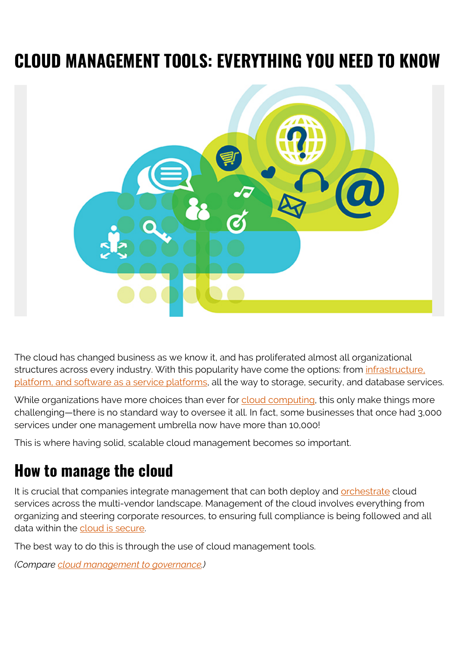# **CLOUD MANAGEMENT TOOLS: EVERYTHING YOU NEED TO KNOW**



The cloud has changed business as we know it, and has proliferated almost all organizational structures across every industry. With this popularity have come the options: from [infrastructure,](https://blogs.bmc.com/blogs/saas-vs-paas-vs-iaas-whats-the-difference-and-how-to-choose/) [platform, and software as a service platforms,](https://blogs.bmc.com/blogs/saas-vs-paas-vs-iaas-whats-the-difference-and-how-to-choose/) all the way to storage, security, and database services.

While organizations have more choices than ever for [cloud computing](https://blogs.bmc.com/blogs/cloud-computing-roles/), this only make things more challenging—there is no standard way to oversee it all. In fact, some businesses that once had 3,000 services under one management umbrella now have more than 10,000!

This is where having solid, scalable cloud management becomes so important.

### **How to manage the cloud**

It is crucial that companies integrate management that can both deploy and **orchestrate** cloud services across the multi-vendor landscape. Management of the cloud involves everything from organizing and steering corporate resources, to ensuring full compliance is being followed and all data within the [cloud is secure.](https://blogs.bmc.com/blogs/cloud-security-trends/)

The best way to do this is through the use of cloud management tools.

*(Compare [cloud management to governance](https://blogs.bmc.com/blogs/cloud-governance-vs-cloud-management-whats-the-difference/).)*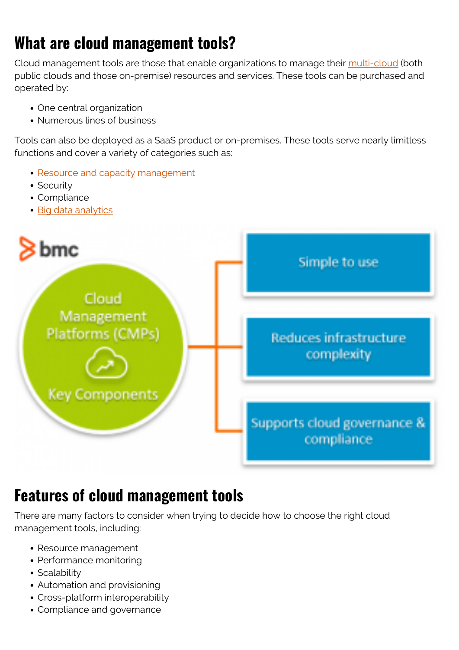# **What are cloud management tools?**

Cloud management tools are those that enable organizations to manage their [multi-cloud](https://blogs.bmc.com/blogs/multi-cloud-strategy/) (both public clouds and those on-premise) resources and services. These tools can be purchased and operated by:

- One central organization
- Numerous lines of business

Tools can also be deployed as a SaaS product or on-premises. These tools serve nearly limitless functions and cover a variety of categories such as:

- [Resource and capacity management](https://blogs.bmc.com/blogs/it-capacity-management-planning/)
- Security
- Compliance
- [Big data analytics](https://blogs.bmc.com/blogs/data-analytics-vs-data-analysis)



#### **Features of cloud management tools**

There are many factors to consider when trying to decide how to choose the right cloud management tools, including:

- Resource management
- Performance monitoring
- Scalability
- Automation and provisioning
- Cross-platform interoperability
- Compliance and governance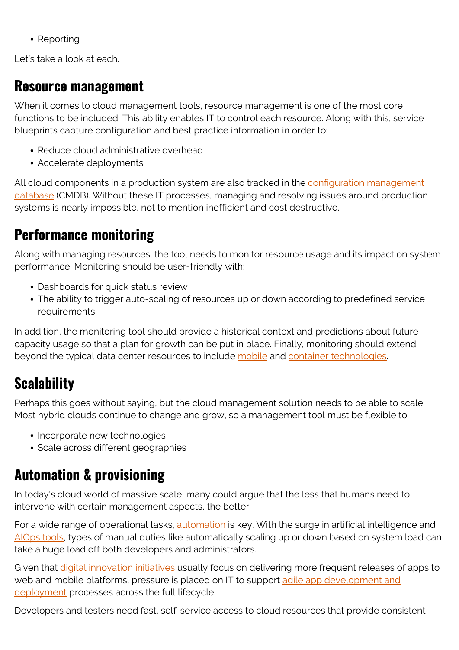• Reporting

Let's take a look at each.

#### **Resource management**

When it comes to cloud management tools, resource management is one of the most core functions to be included. This ability enables IT to control each resource. Along with this, service blueprints capture configuration and best practice information in order to:

- Reduce cloud administrative overhead
- Accelerate deployments

All cloud components in a production system are also tracked in the [configuration management](https://blogs.bmc.com/blogs/cmdb-application-mapping/) [database](https://blogs.bmc.com/blogs/cmdb-application-mapping/) (CMDB). Without these IT processes, managing and resolving issues around production systems is nearly impossible, not to mention inefficient and cost destructive.

#### **Performance monitoring**

Along with managing resources, the tool needs to monitor resource usage and its impact on system performance. Monitoring should be user-friendly with:

- Dashboards for quick status review
- The ability to trigger auto-scaling of resources up or down according to predefined service requirements

In addition, the monitoring tool should provide a historical context and predictions about future capacity usage so that a plan for growth can be put in place. Finally, monitoring should extend beyond the typical data center resources to include [mobile](https://blogs.bmc.com/blogs/enterprise-5g/) and [container technologies](https://blogs.bmc.com/blogs/what-is-a-container-containerization-explained/).

# **Scalability**

Perhaps this goes without saying, but the cloud management solution needs to be able to scale. Most hybrid clouds continue to change and grow, so a management tool must be flexible to:

- Incorporate new technologies
- Scale across different geographies

# **Automation & provisioning**

In today's cloud world of massive scale, many could argue that the less that humans need to intervene with certain management aspects, the better.

For a wide range of operational tasks, [automation](https://blogs.bmc.com/blogs/it-automation/) is key. With the surge in artificial intelligence and [AIOps tools,](https://blogs.bmc.com/blogs/choosing-aiops-tools/) types of manual duties like automatically scaling up or down based on system load can take a huge load off both developers and administrators.

Given that [digital innovation initiatives](https://blogs.bmc.com/blogs/what-is-digital-transformation/) usually focus on delivering more frequent releases of apps to web and mobile platforms, pressure is placed on IT to support [agile app development and](https://blogs.bmc.com/blogs/devops-vs-agile-whats-the-difference-and-how-are-they-related/) [deployment](https://blogs.bmc.com/blogs/devops-vs-agile-whats-the-difference-and-how-are-they-related/) processes across the full lifecycle.

Developers and testers need fast, self-service access to cloud resources that provide consistent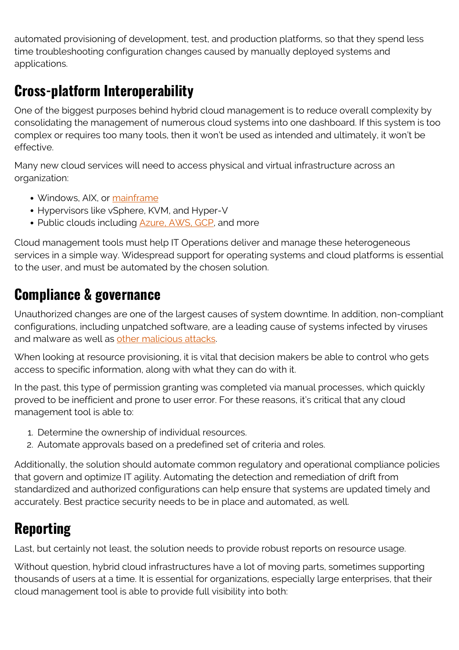automated provisioning of development, test, and production platforms, so that they spend less time troubleshooting configuration changes caused by manually deployed systems and applications.

#### **Cross-platform Interoperability**

One of the biggest purposes behind hybrid cloud management is to reduce overall complexity by consolidating the management of numerous cloud systems into one dashboard. If this system is too complex or requires too many tools, then it won't be used as intended and ultimately, it won't be effective.

Many new cloud services will need to access physical and virtual infrastructure across an organization:

- Windows, AIX, or [mainframe](https://blogs.bmc.com/it-solutions/bmc-ami-automated-mainframe-intelligence.html)
- Hypervisors like vSphere, KVM, and Hyper-V
- Public clouds including **[Azure, AWS, GCP](https://blogs.bmc.com/blogs/aws-vs-azure-vs-google-cloud-platforms/)**, and more

Cloud management tools must help IT Operations deliver and manage these heterogeneous services in a simple way. Widespread support for operating systems and cloud platforms is essential to the user, and must be automated by the chosen solution.

#### **Compliance & governance**

Unauthorized changes are one of the largest causes of system downtime. In addition, non-compliant configurations, including unpatched software, are a leading cause of systems infected by viruses and malware as well as [other malicious attacks.](https://blogs.bmc.com/blogs/artificial-intelligence-cyberattacks/)

When looking at resource provisioning, it is vital that decision makers be able to control who gets access to specific information, along with what they can do with it.

In the past, this type of permission granting was completed via manual processes, which quickly proved to be inefficient and prone to user error. For these reasons, it's critical that any cloud management tool is able to:

- 1. Determine the ownership of individual resources.
- 2. Automate approvals based on a predefined set of criteria and roles.

Additionally, the solution should automate common regulatory and operational compliance policies that govern and optimize IT agility. Automating the detection and remediation of drift from standardized and authorized configurations can help ensure that systems are updated timely and accurately. Best practice security needs to be in place and automated, as well.

### **Reporting**

Last, but certainly not least, the solution needs to provide robust reports on resource usage.

Without question, hybrid cloud infrastructures have a lot of moving parts, sometimes supporting thousands of users at a time. It is essential for organizations, especially large enterprises, that their cloud management tool is able to provide full visibility into both: